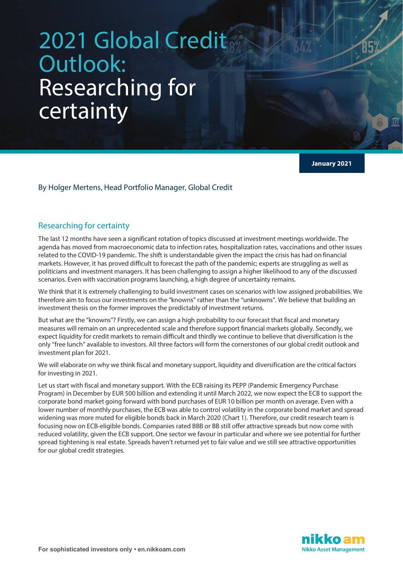## 2021 Global Credit Outlook: Researching for certainty

**January 2021**

By Holger Mertens, Head Portfolio Manager, Global Credit

## Researching for certainty

The last 12 months have seen a significant rotation of topics discussed at investment meetings worldwide. The agenda has moved from macroeconomic data to infection rates, hospitalization rates, vaccinations and other issues related to the COVID-19 pandemic. The shift is understandable given the impact the crisis has had on financial markets. However, it has proved difficult to forecast the path of the pandemic; experts are struggling as well as politicians and investment managers. It has been challenging to assign a higher likelihood to any of the discussed scenarios. Even with vaccination programs launching, a high degree of uncertainty remains.

We think that it is extremely challenging to build investment cases on scenarios with low assigned probabilities. We therefore aim to focus our investments on the "knowns" rather than the "unknowns". We believe that building an investment thesis on the former improves the predictably of investment returns.

But what are the "knowns"? Firstly, we can assign a high probability to our forecast that fiscal and monetary measures will remain on an unprecedented scale and therefore support financial markets globally. Secondly, we expect liquidity for credit markets to remain difficult and thirdly we continue to believe that diversification is the only "free lunch" available to investors. All three factors will form the cornerstones of our global credit outlook and investment plan for 2021.

We will elaborate on why we think fiscal and monetary support, liquidity and diversification are the critical factors for investing in 2021.

Let us start with fiscal and monetary support. With the ECB raising its PEPP (Pandemic Emergency Purchase Program) in December by EUR 500 billion and extending it until March 2022, we now expect the ECB to support the corporate bond market going forward with bond purchases of EUR 10 billion per month on average. Even with a lower number of monthly purchases, the ECB was able to control volatility in the corporate bond market and spread widening was more muted for eligible bonds back in March 2020 (Chart 1). Therefore, our credit research team is focusing now on ECB-eligible bonds. Companies rated BBB or BB still offer attractive spreads but now come with reduced volatility, given the ECB support. One sector we favour in particular and where we see potential for further spread tightening is real estate. Spreads haven't returned yet to fair value and we still see attractive opportunities for our global credit strategies.

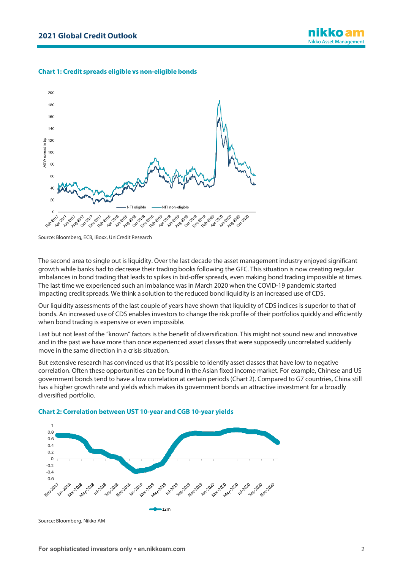## **Chart 1: Credit spreads eligible vs non-eligible bonds**



Source: Bloomberg, ECB, iBoxx, UniCredit Research

The second area to single out is liquidity. Over the last decade the asset management industry enjoyed significant growth while banks had to decrease their trading books following the GFC. This situation is now creating regular imbalances in bond trading that leads to spikes in bid-offer spreads, even making bond trading impossible at times. The last time we experienced such an imbalance was in March 2020 when the COVID-19 pandemic started impacting credit spreads. We think a solution to the reduced bond liquidity is an increased use of CDS.

Our liquidity assessments of the last couple of years have shown that liquidity of CDS indices is superior to that of bonds. An increased use of CDS enables investors to change the risk profile of their portfolios quickly and efficiently when bond trading is expensive or even impossible.

Last but not least of the "known" factors is the benefit of diversification. This might not sound new and innovative and in the past we have more than once experienced asset classes that were supposedly uncorrelated suddenly move in the same direction in a crisis situation.

But extensive research has convinced us that it's possible to identify asset classes that have low to negative correlation. Often these opportunities can be found in the Asian fixed income market. For example, Chinese and US government bonds tend to have a low correlation at certain periods (Chart 2). Compared to G7 countries, China still has a higher growth rate and yields which makes its government bonds an attractive investment for a broadly diversified portfolio.



**Chart 2: Correlation between UST 10-year and CGB 10-year yields**

Source: Bloomberg, Nikko AM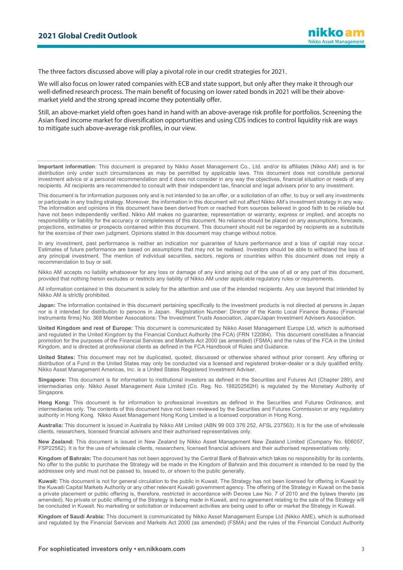The three factors discussed above will play a pivotal role in our credit strategies for 2021.

We will also focus on lower rated companies with ECB and state support, but only after they make it through our well-defined research process. The main benefit of focusing on lower rated bonds in 2021 will be their abovemarket yield and the strong spread income they potentially offer.

Still, an above-market yield often goes hand in hand with an above-average risk profile for portfolios. Screening the Asian fixed income market for diversification opportunities and using CDS indices to control liquidity risk are ways to mitigate such above-average risk profiles, in our view.

**Important information**: This document is prepared by Nikko Asset Management Co., Ltd. and/or its affiliates (Nikko AM) and is for distribution only under such circumstances as may be permitted by applicable laws. This document does not constitute personal investment advice or a personal recommendation and it does not consider in any way the objectives, financial situation or needs of any recipients. All recipients are recommended to consult with their independent tax, financial and legal advisers prior to any investment.

This document is for information purposes only and is not intended to be an offer, or a solicitation of an offer, to buy or sell any investments or participate in any trading strategy. Moreover, the information in this document will not affect Nikko AM's investment strategy in any way. The information and opinions in this document have been derived from or reached from sources believed in good faith to be reliable but have not been independently verified. Nikko AM makes no guarantee, representation or warranty, express or implied, and accepts no responsibility or liability for the accuracy or completeness of this document. No reliance should be placed on any assumptions, forecasts, projections, estimates or prospects contained within this document. This document should not be regarded by recipients as a substitute for the exercise of their own judgment. Opinions stated in this document may change without notice.

In any investment, past performance is neither an indication nor guarantee of future performance and a loss of capital may occur. Estimates of future performance are based on assumptions that may not be realised. Investors should be able to withstand the loss of any principal investment. The mention of individual securities, sectors, regions or countries within this document does not imply a recommendation to buy or sell.

Nikko AM accepts no liability whatsoever for any loss or damage of any kind arising out of the use of all or any part of this document, provided that nothing herein excludes or restricts any liability of Nikko AM under applicable regulatory rules or requirements.

All information contained in this document is solely for the attention and use of the intended recipients. Any use beyond that intended by Nikko AM is strictly prohibited.

**Japan:** The information contained in this document pertaining specifically to the investment products is not directed at persons in Japan nor is it intended for distribution to persons in Japan. Registration Number: Director of the Kanto Local Finance Bureau (Financial Instruments firms) No. 368 Member Associations: The Investment Trusts Association, Japan/Japan Investment Advisers Association.

**United Kingdom and rest of Europe:** This document is communicated by Nikko Asset Management Europe Ltd, which is authorised and regulated in the United Kingdom by the Financial Conduct Authority (the FCA) (FRN 122084). This document constitutes a financial promotion for the purposes of the Financial Services and Markets Act 2000 (as amended) (FSMA) and the rules of the FCA in the United Kingdom, and is directed at professional clients as defined in the FCA Handbook of Rules and Guidance.

**United States:** This document may not be duplicated, quoted, discussed or otherwise shared without prior consent. Any offering or distribution of a Fund in the United States may only be conducted via a licensed and registered broker-dealer or a duly qualified entity. Nikko Asset Management Americas, Inc. is a United States Registered Investment Adviser.

**Singapore:** This document is for information to institutional investors as defined in the Securities and Futures Act (Chapter 289), and intermediaries only. Nikko Asset Management Asia Limited (Co. Reg. No. 198202562H) is regulated by the Monetary Authority of Singapore.

**Hong Kong:** This document is for information to professional investors as defined in the Securities and Futures Ordinance, and intermediaries only. The contents of this document have not been reviewed by the Securities and Futures Commission or any regulatory authority in Hong Kong. Nikko Asset Management Hong Kong Limited is a licensed corporation in Hong Kong.

**Australia:** This document is issued in Australia by Nikko AM Limited (ABN 99 003 376 252, AFSL 237563). It is for the use of wholesale clients, researchers, licensed financial advisers and their authorised representatives only.

**New Zealand:** This document is issued in New Zealand by Nikko Asset Management New Zealand Limited (Company No. 606057, FSP22562). It is for the use of wholesale clients, researchers, licensed financial advisers and their authorised representatives only.

**Kingdom of Bahrain:** The document has not been approved by the Central Bank of Bahrain which takes no responsibility for its contents. No offer to the public to purchase the Strategy will be made in the Kingdom of Bahrain and this document is intended to be read by the addressee only and must not be passed to, issued to, or shown to the public generally.

**Kuwait:** This document is not for general circulation to the public in Kuwait. The Strategy has not been licensed for offering in Kuwait by the Kuwaiti Capital Markets Authority or any other relevant Kuwaiti government agency. The offering of the Strategy in Kuwait on the basis a private placement or public offering is, therefore, restricted in accordance with Decree Law No. 7 of 2010 and the bylaws thereto (as amended). No private or public offering of the Strategy is being made in Kuwait, and no agreement relating to the sale of the Strategy will be concluded in Kuwait. No marketing or solicitation or inducement activities are being used to offer or market the Strategy in Kuwait.

**Kingdom of Saudi Arabia:** This document is communicated by Nikko Asset Management Europe Ltd (Nikko AME), which is authorised and regulated by the Financial Services and Markets Act 2000 (as amended) (FSMA) and the rules of the Financial Conduct Authority